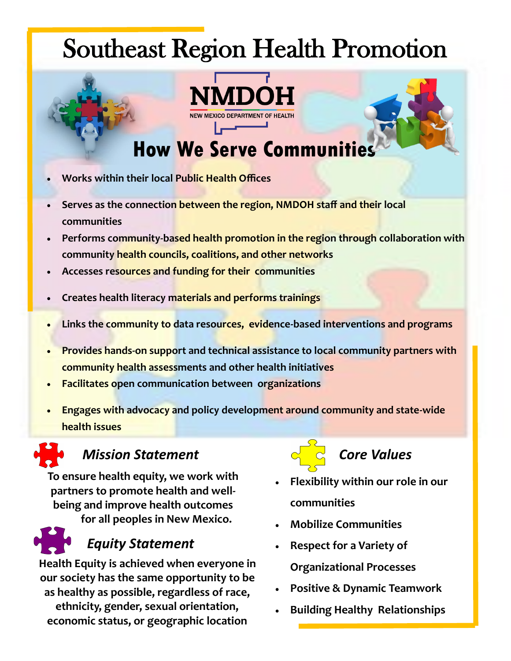# Southeast Region Health Promotion



## **How We Serve Communities**

- **Works within their local Public Health Offices**
- **Serves as the connection between the region, NMDOH staff and their local communities**
- **Performs community-based health promotion in the region through collaboration with community health councils, coalitions, and other networks**
- **Accesses resources and funding for their communities**
- **Creates health literacy materials and performs trainings**
- **Links the community to data resources, evidence-based interventions and programs**
- **Provides hands-on support and technical assistance to local community partners with community health assessments and other health initiatives**
- **Facilitates open communication between organizations**
- **Engages with advocacy and policy development around community and state-wide health issues**

#### *Mission Statement*

**To ensure health equity, we work with partners to promote health and wellbeing and improve health outcomes for all peoples in New Mexico.** 



#### *Equity Statement*

**Health Equity is achieved when everyone in our society has the same opportunity to be as healthy as possible, regardless of race, ethnicity, gender, sexual orientation, economic status, or geographic location**



### *Core Values*

- **Flexibility within our role in our communities**
- **Mobilize Communities**
- **Respect for a Variety of Organizational Processes**
- **Positive & Dynamic Teamwork**
- **Building Healthy Relationships**